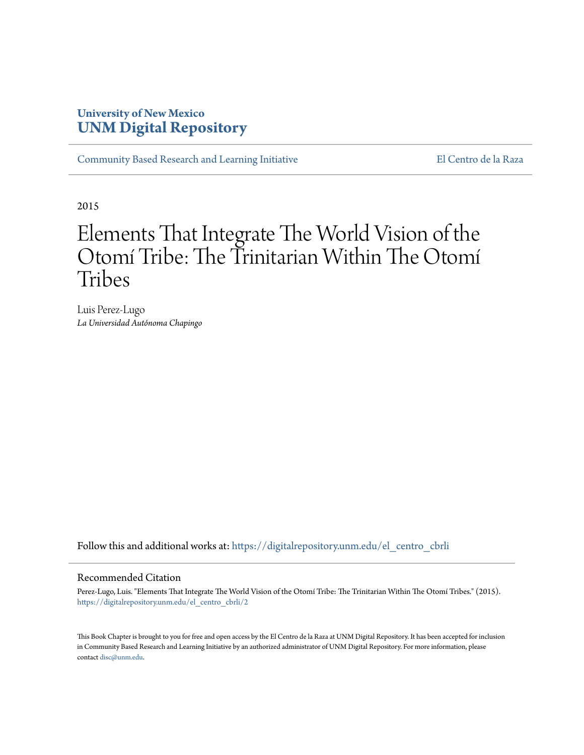# **University of New Mexico [UNM Digital Repository](https://digitalrepository.unm.edu?utm_source=digitalrepository.unm.edu%2Fel_centro_cbrli%2F2&utm_medium=PDF&utm_campaign=PDFCoverPages)**

[Community Based Research and Learning Initiative](https://digitalrepository.unm.edu/el_centro_cbrli?utm_source=digitalrepository.unm.edu%2Fel_centro_cbrli%2F2&utm_medium=PDF&utm_campaign=PDFCoverPages) [El Centro de la Raza](https://digitalrepository.unm.edu/el_centro?utm_source=digitalrepository.unm.edu%2Fel_centro_cbrli%2F2&utm_medium=PDF&utm_campaign=PDFCoverPages)

2015

# Elements That Integrate The World Vision of the Otomí Tribe: The Trinitarian Within The Otomí Tribes

Luis Perez-Lugo *La Universidad Autónoma Chapingo*

Follow this and additional works at: [https://digitalrepository.unm.edu/el\\_centro\\_cbrli](https://digitalrepository.unm.edu/el_centro_cbrli?utm_source=digitalrepository.unm.edu%2Fel_centro_cbrli%2F2&utm_medium=PDF&utm_campaign=PDFCoverPages)

#### Recommended Citation

Perez-Lugo, Luis. "Elements That Integrate The World Vision of the Otomí Tribe: The Trinitarian Within The Otomí Tribes." (2015). [https://digitalrepository.unm.edu/el\\_centro\\_cbrli/2](https://digitalrepository.unm.edu/el_centro_cbrli/2?utm_source=digitalrepository.unm.edu%2Fel_centro_cbrli%2F2&utm_medium=PDF&utm_campaign=PDFCoverPages)

This Book Chapter is brought to you for free and open access by the El Centro de la Raza at UNM Digital Repository. It has been accepted for inclusion in Community Based Research and Learning Initiative by an authorized administrator of UNM Digital Repository. For more information, please contact [disc@unm.edu.](mailto:disc@unm.edu)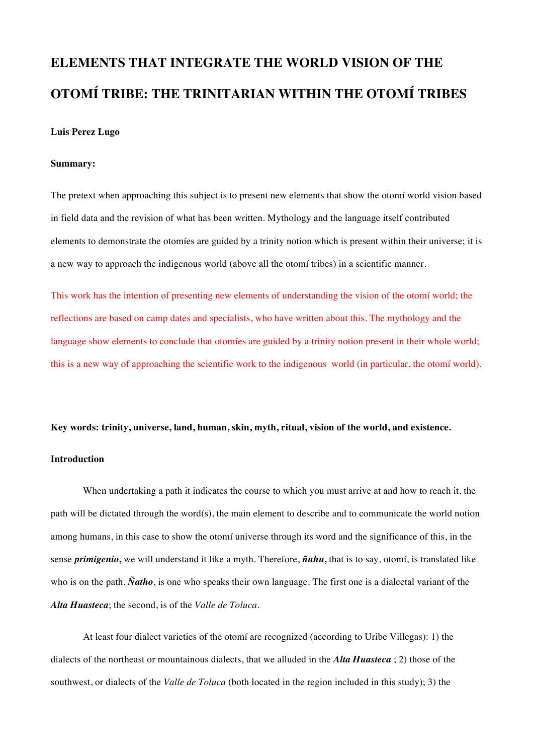# **ELEMENTS THAT INTEGRATE THE WORLD VISION OF THE OTOMÍ TRIBE: THE TRINITARIAN WITHIN THE OTOMÍ TRIBES**

### **Luis Perez Lugo**

#### **Summary:**

The pretext when approaching this subject is to present new elements that show the otomí world vision based in field data and the revision of what has been written. Mythology and the language itself contributed elements to demonstrate the otomíes are guided by a trinity notion which is present within their universe; it is a new way to approach the indigenous world (above all the otomí tribes) in a scientific manner.

This work has the intention of presenting new elements of understanding the vision of the otomí world; the reflections are based on camp dates and specialists, who have written about this. The mythology and the language show elements to conclude that otomíes are guided by a trinity notion present in their whole world; this is a new way of approaching the scientific work to the indigenous world (in particular, the otomí world).

#### **Key words: trinity, universe, land, human, skin, myth, ritual, vision of the world, and existence.**

### **Introduction**

When undertaking a path it indicates the course to which you must arrive at and how to reach it, the path will be dictated through the word(s), the main element to describe and to communicate the world notion among humans, in this case to show the otomí universe through its word and the significance of this, in the sense *primigenio***,** we will understand it like a myth. Therefore, *ñuhu***,** that is to say, otomí, is translated like who is on the path. *Ñatho*, is one who speaks their own language. The first one is a dialectal variant of the *Alta Huasteca*; the second, is of the *Valle de Toluca*.

At least four dialect varieties of the otomí are recognized (according to Uribe Villegas): 1) the dialects of the northeast or mountainous dialects, that we alluded in the *Alta Huasteca* ; 2) those of the southwest, or dialects of the *Valle de Toluca* (both located in the region included in this study); 3) the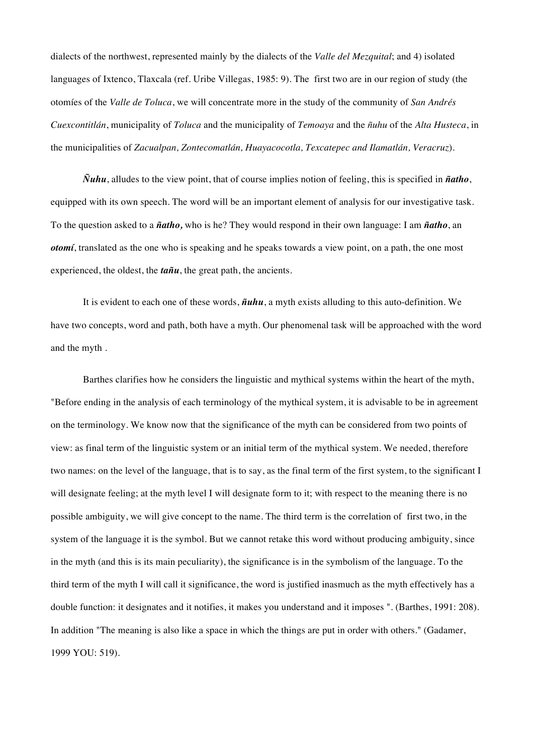dialects of the northwest, represented mainly by the dialects of the *Valle del Mezquital*; and 4) isolated languages of Ixtenco, Tlaxcala (ref. Uribe Villegas, 1985: 9). The first two are in our region of study (the otomíes of the *Valle de Toluca*, we will concentrate more in the study of the community of *San Andrés Cuexcontitlán*, municipality of *Toluca* and the municipality of *Temoaya* and the *ñuhu* of the *Alta Husteca*, in the municipalities of *Zacualpan, Zontecomatlán, Huayacocotla, Texcatepec and Ilamatlán, Veracruz*).

*Ñuhu*, alludes to the view point, that of course implies notion of feeling, this is specified in *ñatho*, equipped with its own speech. The word will be an important element of analysis for our investigative task. To the question asked to a *ñatho,* who is he? They would respond in their own language: I am *ñatho*, an *otomí*, translated as the one who is speaking and he speaks towards a view point, on a path, the one most experienced, the oldest, the *tañu*, the great path, the ancients.

It is evident to each one of these words, *ñuhu*, a myth exists alluding to this auto-definition. We have two concepts, word and path, both have a myth. Our phenomenal task will be approached with the word and the myth .

Barthes clarifies how he considers the linguistic and mythical systems within the heart of the myth, "Before ending in the analysis of each terminology of the mythical system, it is advisable to be in agreement on the terminology. We know now that the significance of the myth can be considered from two points of view: as final term of the linguistic system or an initial term of the mythical system. We needed, therefore two names: on the level of the language, that is to say, as the final term of the first system, to the significant I will designate feeling; at the myth level I will designate form to it; with respect to the meaning there is no possible ambiguity, we will give concept to the name. The third term is the correlation of first two, in the system of the language it is the symbol. But we cannot retake this word without producing ambiguity, since in the myth (and this is its main peculiarity), the significance is in the symbolism of the language. To the third term of the myth I will call it significance, the word is justified inasmuch as the myth effectively has a double function: it designates and it notifies, it makes you understand and it imposes ". (Barthes, 1991: 208). In addition "The meaning is also like a space in which the things are put in order with others." (Gadamer, 1999 YOU: 519).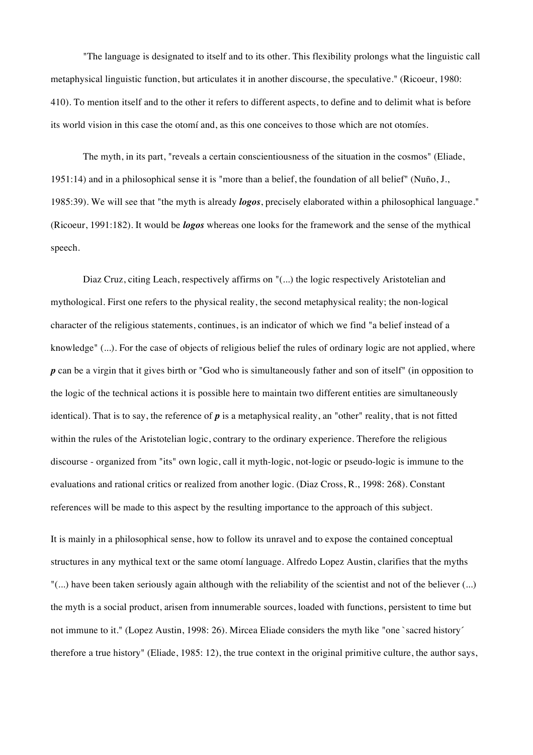"The language is designated to itself and to its other. This flexibility prolongs what the linguistic call metaphysical linguistic function, but articulates it in another discourse, the speculative." (Ricoeur, 1980: 410). To mention itself and to the other it refers to different aspects, to define and to delimit what is before its world vision in this case the otomí and, as this one conceives to those which are not otomíes.

The myth, in its part, "reveals a certain conscientiousness of the situation in the cosmos" (Eliade, 1951:14) and in a philosophical sense it is "more than a belief, the foundation of all belief" (Nuño, J., 1985:39). We will see that "the myth is already *logos*, precisely elaborated within a philosophical language." (Ricoeur, 1991:182). It would be *logos* whereas one looks for the framework and the sense of the mythical speech.

Diaz Cruz, citing Leach, respectively affirms on "(...) the logic respectively Aristotelian and mythological. First one refers to the physical reality, the second metaphysical reality; the non-logical character of the religious statements, continues, is an indicator of which we find "a belief instead of a knowledge" (...). For the case of objects of religious belief the rules of ordinary logic are not applied, where *p* can be a virgin that it gives birth or "God who is simultaneously father and son of itself" (in opposition to the logic of the technical actions it is possible here to maintain two different entities are simultaneously identical). That is to say, the reference of *p* is a metaphysical reality, an "other" reality, that is not fitted within the rules of the Aristotelian logic, contrary to the ordinary experience. Therefore the religious discourse - organized from "its" own logic, call it myth-logic, not-logic or pseudo-logic is immune to the evaluations and rational critics or realized from another logic. (Diaz Cross, R., 1998: 268). Constant references will be made to this aspect by the resulting importance to the approach of this subject.

It is mainly in a philosophical sense, how to follow its unravel and to expose the contained conceptual structures in any mythical text or the same otomí language. Alfredo Lopez Austin, clarifies that the myths "(...) have been taken seriously again although with the reliability of the scientist and not of the believer (...) the myth is a social product, arisen from innumerable sources, loaded with functions, persistent to time but not immune to it." (Lopez Austin, 1998: 26). Mircea Eliade considers the myth like "one `sacred history´ therefore a true history" (Eliade, 1985: 12), the true context in the original primitive culture, the author says,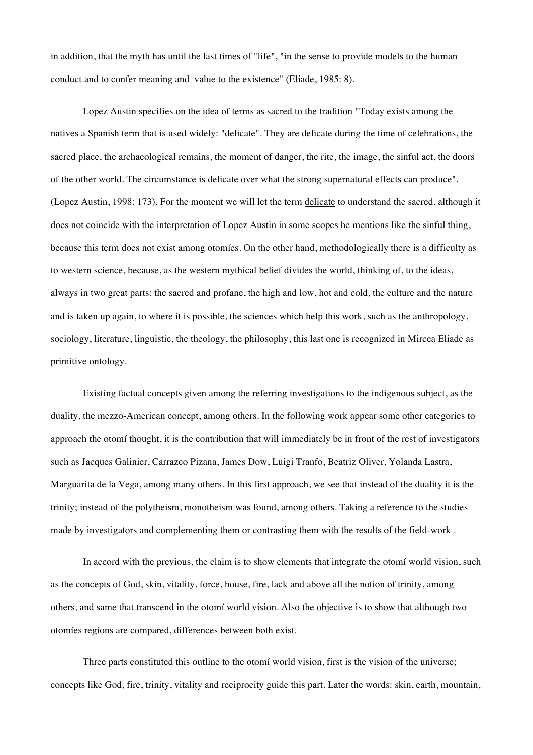in addition, that the myth has until the last times of "life", "in the sense to provide models to the human conduct and to confer meaning and value to the existence" (Eliade, 1985: 8).

Lopez Austin specifies on the idea of terms as sacred to the tradition "Today exists among the natives a Spanish term that is used widely: "delicate". They are delicate during the time of celebrations, the sacred place, the archaeological remains, the moment of danger, the rite, the image, the sinful act, the doors of the other world. The circumstance is delicate over what the strong supernatural effects can produce". (Lopez Austin, 1998: 173). For the moment we will let the term delicate to understand the sacred, although it does not coincide with the interpretation of Lopez Austin in some scopes he mentions like the sinful thing, because this term does not exist among otomíes. On the other hand, methodologically there is a difficulty as to western science, because, as the western mythical belief divides the world, thinking of, to the ideas, always in two great parts: the sacred and profane, the high and low, hot and cold, the culture and the nature and is taken up again, to where it is possible, the sciences which help this work, such as the anthropology, sociology, literature, linguistic, the theology, the philosophy, this last one is recognized in Mircea Eliade as primitive ontology.

Existing factual concepts given among the referring investigations to the indigenous subject, as the duality, the mezzo-American concept, among others. In the following work appear some other categories to approach the otomí thought, it is the contribution that will immediately be in front of the rest of investigators such as Jacques Galinier, Carrazco Pizana, James Dow, Luigi Tranfo, Beatriz Oliver, Yolanda Lastra, Marguarita de la Vega, among many others. In this first approach, we see that instead of the duality it is the trinity; instead of the polytheism, monotheism was found, among others. Taking a reference to the studies made by investigators and complementing them or contrasting them with the results of the field-work .

In accord with the previous, the claim is to show elements that integrate the otomí world vision, such as the concepts of God, skin, vitality, force, house, fire, lack and above all the notion of trinity, among others, and same that transcend in the otomí world vision. Also the objective is to show that although two otomíes regions are compared, differences between both exist.

Three parts constituted this outline to the otomí world vision, first is the vision of the universe; concepts like God, fire, trinity, vitality and reciprocity guide this part. Later the words: skin, earth, mountain,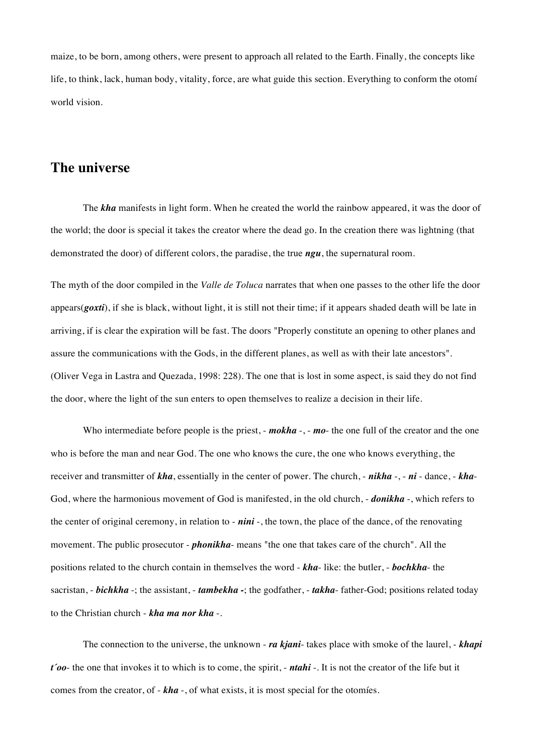maize, to be born, among others, were present to approach all related to the Earth. Finally, the concepts like life, to think, lack, human body, vitality, force, are what guide this section. Everything to conform the otomí world vision.

### **The universe**

The *kha* manifests in light form. When he created the world the rainbow appeared, it was the door of the world; the door is special it takes the creator where the dead go. In the creation there was lightning (that demonstrated the door) of different colors, the paradise, the true *ngu*, the supernatural room.

The myth of the door compiled in the *Valle de Toluca* narrates that when one passes to the other life the door appears(*goxti*), if she is black, without light, it is still not their time; if it appears shaded death will be late in arriving, if is clear the expiration will be fast. The doors "Properly constitute an opening to other planes and assure the communications with the Gods, in the different planes, as well as with their late ancestors". (Oliver Vega in Lastra and Quezada, 1998: 228). The one that is lost in some aspect, is said they do not find the door, where the light of the sun enters to open themselves to realize a decision in their life.

Who intermediate before people is the priest, - *mokha* -, - *mo*- the one full of the creator and the one who is before the man and near God. The one who knows the cure, the one who knows everything, the receiver and transmitter of *kha*, essentially in the center of power. The church, - *nikha* -, - *ni* - dance, - *kha*-God, where the harmonious movement of God is manifested, in the old church, - *donikha* -, which refers to the center of original ceremony, in relation to - *nini* -, the town, the place of the dance, of the renovating movement. The public prosecutor - *phonikha*- means "the one that takes care of the church". All the positions related to the church contain in themselves the word - *kha*- like: the butler, - *bochkha*- the sacristan, - *bichkha* -; the assistant, - *tambekha -*; the godfather, - *takha*- father-God; positions related today to the Christian church - *kha ma nor kha* -.

The connection to the universe, the unknown - *ra kjani*- takes place with smoke of the laurel, - *khapi t´oo*- the one that invokes it to which is to come, the spirit, - *ntahi* -. It is not the creator of the life but it comes from the creator, of - *kha* -, of what exists, it is most special for the otomíes.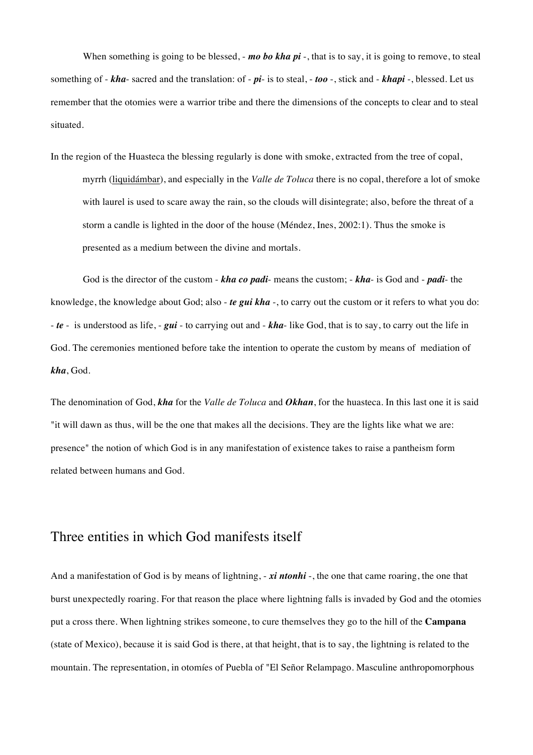When something is going to be blessed, - *mo bo kha pi* -, that is to say, it is going to remove, to steal something of - *kha*- sacred and the translation: of - *pi*- is to steal, - *too* -, stick and - *khapi* -, blessed. Let us remember that the otomies were a warrior tribe and there the dimensions of the concepts to clear and to steal situated.

In the region of the Huasteca the blessing regularly is done with smoke, extracted from the tree of copal, myrrh (liquidámbar), and especially in the *Valle de Toluca* there is no copal, therefore a lot of smoke with laurel is used to scare away the rain, so the clouds will disintegrate; also, before the threat of a storm a candle is lighted in the door of the house (Méndez, Ines, 2002:1). Thus the smoke is presented as a medium between the divine and mortals.

God is the director of the custom - *kha co padi*- means the custom; - *kha*- is God and - *padi*- the knowledge, the knowledge about God; also - *te gui kha* -, to carry out the custom or it refers to what you do: - *te* - is understood as life, - *gui* - to carrying out and - *kha*- like God, that is to say, to carry out the life in God. The ceremonies mentioned before take the intention to operate the custom by means of mediation of *kha*, God.

The denomination of God, *kha* for the *Valle de Toluca* and *Okhan*, for the huasteca. In this last one it is said "it will dawn as thus, will be the one that makes all the decisions. They are the lights like what we are: presence" the notion of which God is in any manifestation of existence takes to raise a pantheism form related between humans and God.

# Three entities in which God manifests itself

And a manifestation of God is by means of lightning, - xi ntonhi -, the one that came roaring, the one that burst unexpectedly roaring. For that reason the place where lightning falls is invaded by God and the otomies put a cross there. When lightning strikes someone, to cure themselves they go to the hill of the **Campana** (state of Mexico), because it is said God is there, at that height, that is to say, the lightning is related to the mountain. The representation, in otomíes of Puebla of "El Señor Relampago. Masculine anthropomorphous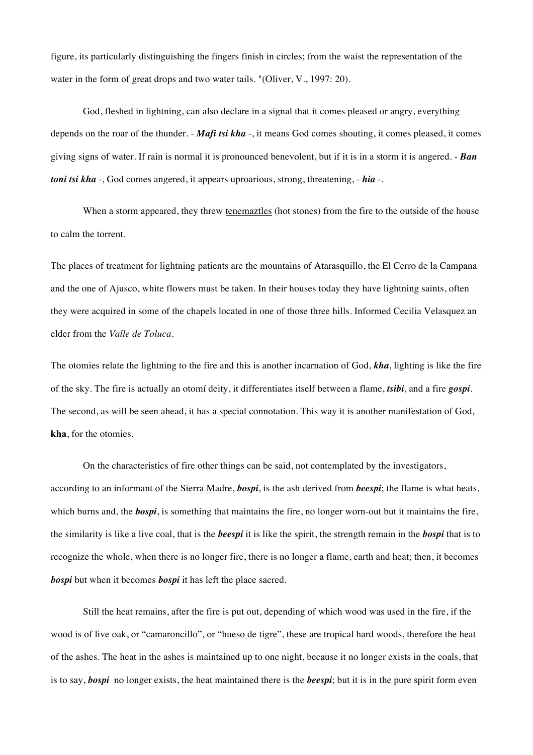figure, its particularly distinguishing the fingers finish in circles; from the waist the representation of the water in the form of great drops and two water tails. "(Oliver, V., 1997: 20).

God, fleshed in lightning, can also declare in a signal that it comes pleased or angry, everything depends on the roar of the thunder. - *Mafi tsi kha* -, it means God comes shouting, it comes pleased, it comes giving signs of water. If rain is normal it is pronounced benevolent, but if it is in a storm it is angered. - *Ban toni tsi kha* -, God comes angered, it appears uproarious, strong, threatening, - *hia* -.

When a storm appeared, they threw tenemaztles (hot stones) from the fire to the outside of the house to calm the torrent.

The places of treatment for lightning patients are the mountains of Atarasquillo, the El Cerro de la Campana and the one of Ajusco, white flowers must be taken. In their houses today they have lightning saints, often they were acquired in some of the chapels located in one of those three hills. Informed Cecilia Velasquez an elder from the *Valle de Toluca*.

The otomies relate the lightning to the fire and this is another incarnation of God, *kha*, lighting is like the fire of the sky. The fire is actually an otomí deity, it differentiates itself between a flame, *tsibi*, and a fire *gospi*. The second, as will be seen ahead, it has a special connotation. This way it is another manifestation of God, **kha**, for the otomies.

On the characteristics of fire other things can be said, not contemplated by the investigators, according to an informant of the Sierra Madre, *bospi*, is the ash derived from *beespi*; the flame is what heats, which burns and, the *bospi*, is something that maintains the fire, no longer worn-out but it maintains the fire, the similarity is like a live coal, that is the *beespi* it is like the spirit, the strength remain in the *bospi* that is to recognize the whole, when there is no longer fire, there is no longer a flame, earth and heat; then, it becomes *bospi* but when it becomes *bospi* it has left the place sacred.

Still the heat remains, after the fire is put out, depending of which wood was used in the fire, if the wood is of live oak, or "camaroncillo", or "hueso de tigre", these are tropical hard woods, therefore the heat of the ashes. The heat in the ashes is maintained up to one night, because it no longer exists in the coals, that is to say, *bospi* no longer exists, the heat maintained there is the *beespi*; but it is in the pure spirit form even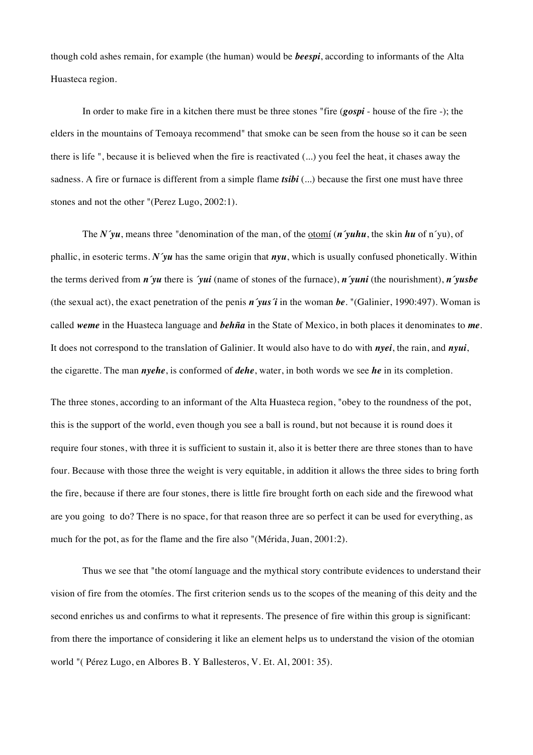though cold ashes remain, for example (the human) would be *beespi*, according to informants of the Alta Huasteca region.

In order to make fire in a kitchen there must be three stones "fire (*gospi* - house of the fire -); the elders in the mountains of Temoaya recommend" that smoke can be seen from the house so it can be seen there is life ", because it is believed when the fire is reactivated (...) you feel the heat, it chases away the sadness. A fire or furnace is different from a simple flame *tsibi* (...) because the first one must have three stones and not the other "(Perez Lugo, 2002:1).

The *N´yu*, means three "denomination of the man, of the otomí (*n´yuhu*, the skin *hu* of n´yu), of phallic, in esoteric terms. *N´yu* has the same origin that *nyu*, which is usually confused phonetically. Within the terms derived from *n´yu* there is *´yui* (name of stones of the furnace), *n´yuni* (the nourishment), *n´yusbe* (the sexual act), the exact penetration of the penis *n´yus´i* in the woman *be*. "(Galinier, 1990:497). Woman is called *weme* in the Huasteca language and *behña* in the State of Mexico, in both places it denominates to *me*. It does not correspond to the translation of Galinier. It would also have to do with *nyei*, the rain, and *nyui*, the cigarette. The man *nyehe*, is conformed of *dehe*, water, in both words we see *he* in its completion.

The three stones, according to an informant of the Alta Huasteca region, "obey to the roundness of the pot, this is the support of the world, even though you see a ball is round, but not because it is round does it require four stones, with three it is sufficient to sustain it, also it is better there are three stones than to have four. Because with those three the weight is very equitable, in addition it allows the three sides to bring forth the fire, because if there are four stones, there is little fire brought forth on each side and the firewood what are you going to do? There is no space, for that reason three are so perfect it can be used for everything, as much for the pot, as for the flame and the fire also "(Mérida, Juan, 2001:2).

Thus we see that "the otomí language and the mythical story contribute evidences to understand their vision of fire from the otomíes. The first criterion sends us to the scopes of the meaning of this deity and the second enriches us and confirms to what it represents. The presence of fire within this group is significant: from there the importance of considering it like an element helps us to understand the vision of the otomian world "( Pérez Lugo, en Albores B. Y Ballesteros, V. Et. Al, 2001: 35).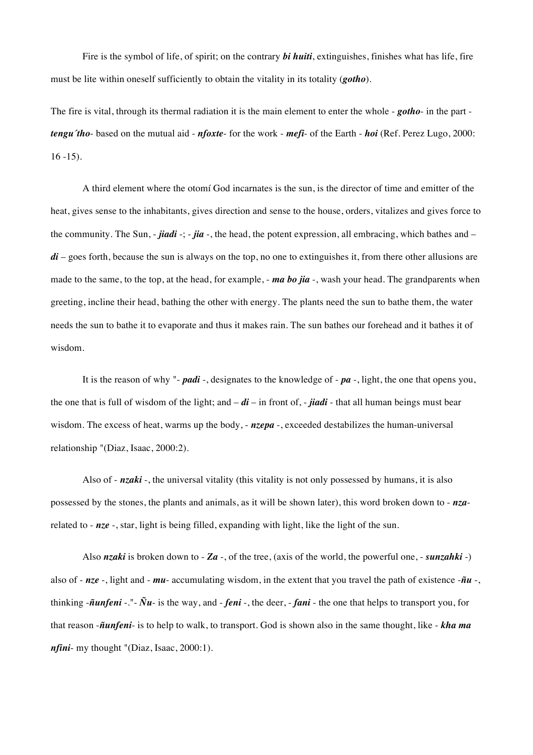Fire is the symbol of life, of spirit; on the contrary *bi huiti*, extinguishes, finishes what has life, fire must be lite within oneself sufficiently to obtain the vitality in its totality (*gotho*).

The fire is vital, through its thermal radiation it is the main element to enter the whole - *gotho*- in the part *tengu´tho*- based on the mutual aid - *nfoxte*- for the work - *mefi*- of the Earth - *hoi* (Ref. Perez Lugo, 2000: 16 -15).

A third element where the otomí God incarnates is the sun, is the director of time and emitter of the heat, gives sense to the inhabitants, gives direction and sense to the house, orders, vitalizes and gives force to the community. The Sun, - *jiadi* -; - *jia* -, the head, the potent expression, all embracing, which bathes and – *di* – goes forth, because the sun is always on the top, no one to extinguishes it, from there other allusions are made to the same, to the top, at the head, for example, - *ma bo jia* -, wash your head. The grandparents when greeting, incline their head, bathing the other with energy. The plants need the sun to bathe them, the water needs the sun to bathe it to evaporate and thus it makes rain. The sun bathes our forehead and it bathes it of wisdom.

It is the reason of why "- *padi* -, designates to the knowledge of - *pa* -, light, the one that opens you, the one that is full of wisdom of the light; and  $-$  *di* – in front of, - *jiadi* - that all human beings must bear wisdom. The excess of heat, warms up the body, -  $nzepa$  -, exceeded destabilizes the human-universal relationship "(Diaz, Isaac, 2000:2).

Also of - *nzaki* -, the universal vitality (this vitality is not only possessed by humans, it is also possessed by the stones, the plants and animals, as it will be shown later), this word broken down to - *nza*related to - *nze* -, star, light is being filled, expanding with light, like the light of the sun.

Also *nzaki* is broken down to - *Za* -, of the tree, (axis of the world, the powerful one, - *sunzahki* -) also of - *nze* -, light and - *mu*- accumulating wisdom, in the extent that you travel the path of existence -*ñu* -, thinking -*ñunfeni* -."- *Ñu*- is the way, and - *feni* -, the deer, - *fani* - the one that helps to transport you, for that reason -*ñunfeni*- is to help to walk, to transport. God is shown also in the same thought, like - *kha ma nfini*- my thought "(Diaz, Isaac, 2000:1).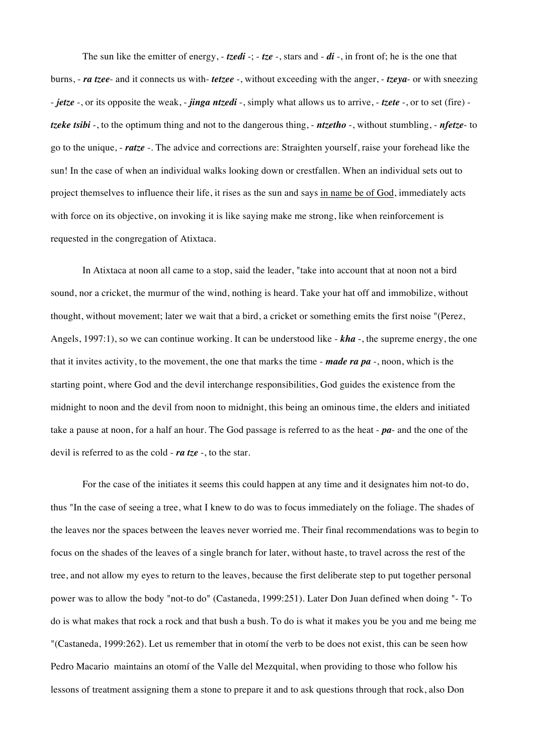The sun like the emitter of energy, - *tzedi* -; - *tze* -, stars and - *di* -, in front of; he is the one that burns, - *ra tzee*- and it connects us with- *tetzee* -, without exceeding with the anger, - *tzeya*- or with sneezing - *jetze* -, or its opposite the weak, - *jinga ntzedi* -, simply what allows us to arrive, - *tzete* -, or to set (fire) *tzeke tsibi* -, to the optimum thing and not to the dangerous thing, - *ntzetho* -, without stumbling, - *nfetze*- to go to the unique, - *ratze* -. The advice and corrections are: Straighten yourself, raise your forehead like the sun! In the case of when an individual walks looking down or crestfallen. When an individual sets out to project themselves to influence their life, it rises as the sun and says in name be of God, immediately acts with force on its objective, on invoking it is like saying make me strong, like when reinforcement is requested in the congregation of Atixtaca.

In Atixtaca at noon all came to a stop, said the leader, "take into account that at noon not a bird sound, nor a cricket, the murmur of the wind, nothing is heard. Take your hat off and immobilize, without thought, without movement; later we wait that a bird, a cricket or something emits the first noise "(Perez, Angels, 1997:1), so we can continue working. It can be understood like - *kha* -, the supreme energy, the one that it invites activity, to the movement, the one that marks the time - *made ra pa* -, noon, which is the starting point, where God and the devil interchange responsibilities, God guides the existence from the midnight to noon and the devil from noon to midnight, this being an ominous time, the elders and initiated take a pause at noon, for a half an hour. The God passage is referred to as the heat - *pa*- and the one of the devil is referred to as the cold - *ra tze* -, to the star.

For the case of the initiates it seems this could happen at any time and it designates him not-to do, thus "In the case of seeing a tree, what I knew to do was to focus immediately on the foliage. The shades of the leaves nor the spaces between the leaves never worried me. Their final recommendations was to begin to focus on the shades of the leaves of a single branch for later, without haste, to travel across the rest of the tree, and not allow my eyes to return to the leaves, because the first deliberate step to put together personal power was to allow the body "not-to do" (Castaneda, 1999:251). Later Don Juan defined when doing "- To do is what makes that rock a rock and that bush a bush. To do is what it makes you be you and me being me "(Castaneda, 1999:262). Let us remember that in otomí the verb to be does not exist, this can be seen how Pedro Macario maintains an otomí of the Valle del Mezquital, when providing to those who follow his lessons of treatment assigning them a stone to prepare it and to ask questions through that rock, also Don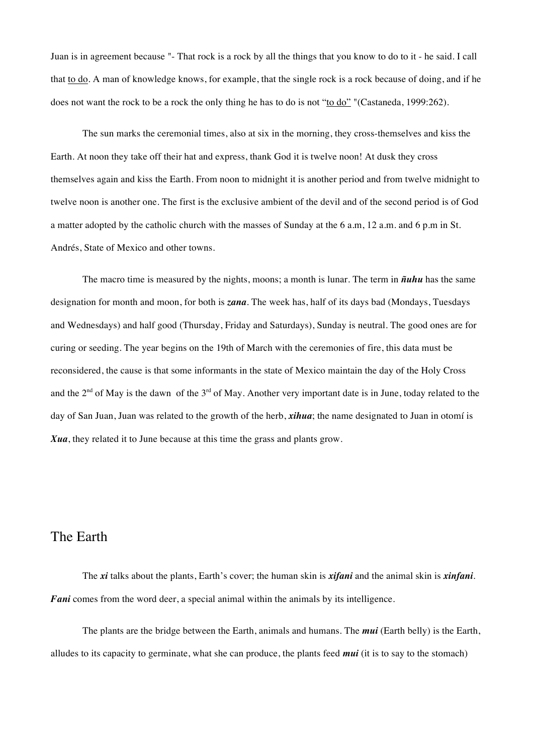Juan is in agreement because "- That rock is a rock by all the things that you know to do to it - he said. I call that to do. A man of knowledge knows, for example, that the single rock is a rock because of doing, and if he does not want the rock to be a rock the only thing he has to do is not "to do" "(Castaneda, 1999:262).

The sun marks the ceremonial times, also at six in the morning, they cross-themselves and kiss the Earth. At noon they take off their hat and express, thank God it is twelve noon! At dusk they cross themselves again and kiss the Earth. From noon to midnight it is another period and from twelve midnight to twelve noon is another one. The first is the exclusive ambient of the devil and of the second period is of God a matter adopted by the catholic church with the masses of Sunday at the 6 a.m, 12 a.m. and 6 p.m in St. Andrés, State of Mexico and other towns.

The macro time is measured by the nights, moons; a month is lunar. The term in *ñuhu* has the same designation for month and moon, for both is *zana*. The week has, half of its days bad (Mondays, Tuesdays and Wednesdays) and half good (Thursday, Friday and Saturdays), Sunday is neutral. The good ones are for curing or seeding. The year begins on the 19th of March with the ceremonies of fire, this data must be reconsidered, the cause is that some informants in the state of Mexico maintain the day of the Holy Cross and the 2<sup>nd</sup> of May is the dawn of the 3<sup>rd</sup> of May. Another very important date is in June, today related to the day of San Juan, Juan was related to the growth of the herb, *xihua*; the name designated to Juan in otomí is *Xua*, they related it to June because at this time the grass and plants grow.

### The Earth

The *xi* talks about the plants, Earth's cover; the human skin is *xifani* and the animal skin is *xinfani*. *Fani* comes from the word deer, a special animal within the animals by its intelligence.

The plants are the bridge between the Earth, animals and humans. The *mui* (Earth belly) is the Earth, alludes to its capacity to germinate, what she can produce, the plants feed *mui* (it is to say to the stomach)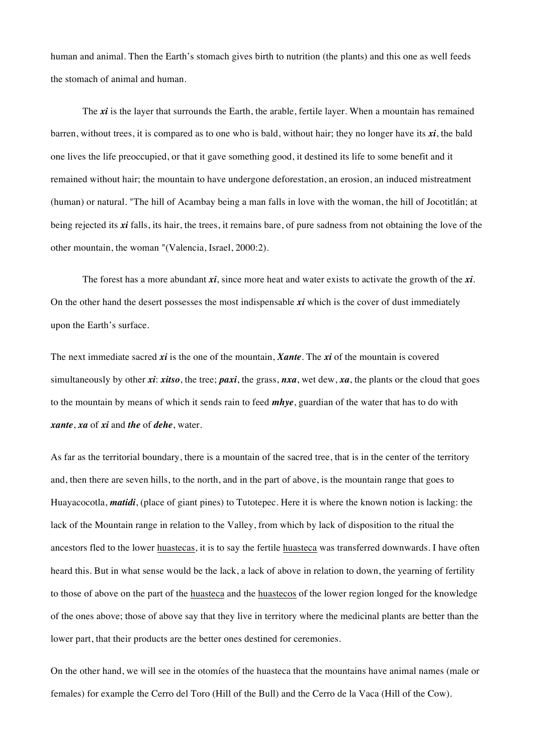human and animal. Then the Earth's stomach gives birth to nutrition (the plants) and this one as well feeds the stomach of animal and human.

The *xi* is the layer that surrounds the Earth, the arable, fertile layer. When a mountain has remained barren, without trees, it is compared as to one who is bald, without hair; they no longer have its *xi*, the bald one lives the life preoccupied, or that it gave something good, it destined its life to some benefit and it remained without hair; the mountain to have undergone deforestation, an erosion, an induced mistreatment (human) or natural. "The hill of Acambay being a man falls in love with the woman, the hill of Jocotitlán; at being rejected its *xi* falls, its hair, the trees, it remains bare, of pure sadness from not obtaining the love of the other mountain, the woman "(Valencia, Israel, 2000:2).

The forest has a more abundant *xi*, since more heat and water exists to activate the growth of the *xi*. On the other hand the desert possesses the most indispensable *xi* which is the cover of dust immediately upon the Earth's surface.

The next immediate sacred *xi* is the one of the mountain, *Xante*. The *xi* of the mountain is covered simultaneously by other *xi*: *xitso*, the tree; *paxi*, the grass, *nxa*, wet dew, *xa*, the plants or the cloud that goes to the mountain by means of which it sends rain to feed *mhye*, guardian of the water that has to do with *xante*, *xa* of *xi* and *the* of *dehe*, water.

As far as the territorial boundary, there is a mountain of the sacred tree, that is in the center of the territory and, then there are seven hills, to the north, and in the part of above, is the mountain range that goes to Huayacocotla, *matidi*, (place of giant pines) to Tutotepec. Here it is where the known notion is lacking: the lack of the Mountain range in relation to the Valley, from which by lack of disposition to the ritual the ancestors fled to the lower huastecas, it is to say the fertile huasteca was transferred downwards. I have often heard this. But in what sense would be the lack, a lack of above in relation to down, the yearning of fertility to those of above on the part of the huasteca and the huastecos of the lower region longed for the knowledge of the ones above; those of above say that they live in territory where the medicinal plants are better than the lower part, that their products are the better ones destined for ceremonies.

On the other hand, we will see in the otomíes of the huasteca that the mountains have animal names (male or females) for example the Cerro del Toro (Hill of the Bull) and the Cerro de la Vaca (Hill of the Cow).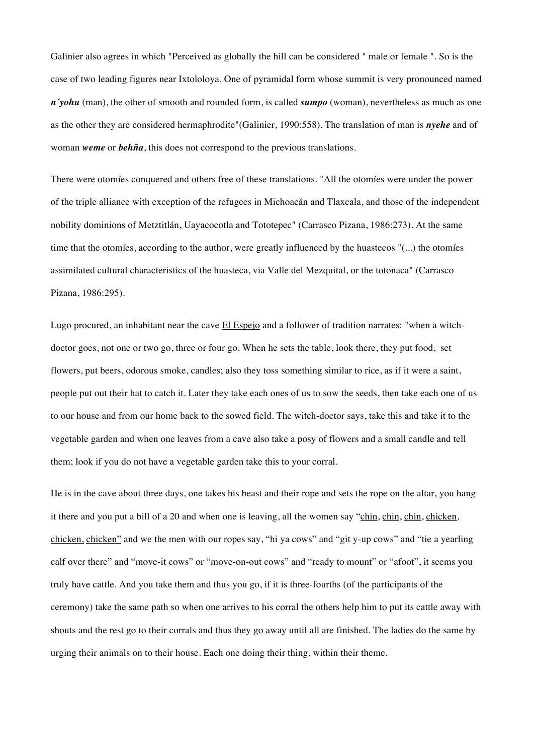Galinier also agrees in which "Perceived as globally the hill can be considered " male or female ". So is the case of two leading figures near Ixtololoya. One of pyramidal form whose summit is very pronounced named *n´yohu* (man), the other of smooth and rounded form, is called *sumpo* (woman), nevertheless as much as one as the other they are considered hermaphrodite"(Galinier, 1990:558). The translation of man is *nyehe* and of woman *weme* or *behña*, this does not correspond to the previous translations.

There were otomíes conquered and others free of these translations. "All the otomíes were under the power of the triple alliance with exception of the refugees in Michoacán and Tlaxcala, and those of the independent nobility dominions of Metztitlán, Uayacocotla and Tototepec" (Carrasco Pizana, 1986:273). At the same time that the otomíes, according to the author, were greatly influenced by the huastecos "(...) the otomíes assimilated cultural characteristics of the huasteca, via Valle del Mezquital, or the totonaca" (Carrasco Pizana, 1986:295).

Lugo procured, an inhabitant near the cave El Espejo and a follower of tradition narrates: "when a witchdoctor goes, not one or two go, three or four go. When he sets the table, look there, they put food, set flowers, put beers, odorous smoke, candles; also they toss something similar to rice, as if it were a saint, people put out their hat to catch it. Later they take each ones of us to sow the seeds, then take each one of us to our house and from our home back to the sowed field. The witch-doctor says, take this and take it to the vegetable garden and when one leaves from a cave also take a posy of flowers and a small candle and tell them; look if you do not have a vegetable garden take this to your corral.

He is in the cave about three days, one takes his beast and their rope and sets the rope on the altar, you hang it there and you put a bill of a 20 and when one is leaving, all the women say "chin, chin, chin, chicken, chicken, chicken" and we the men with our ropes say, "hi ya cows" and "git y-up cows" and "tie a yearling calf over there" and "move-it cows" or "move-on-out cows" and "ready to mount" or "afoot", it seems you truly have cattle. And you take them and thus you go, if it is three-fourths (of the participants of the ceremony) take the same path so when one arrives to his corral the others help him to put its cattle away with shouts and the rest go to their corrals and thus they go away until all are finished. The ladies do the same by urging their animals on to their house. Each one doing their thing, within their theme.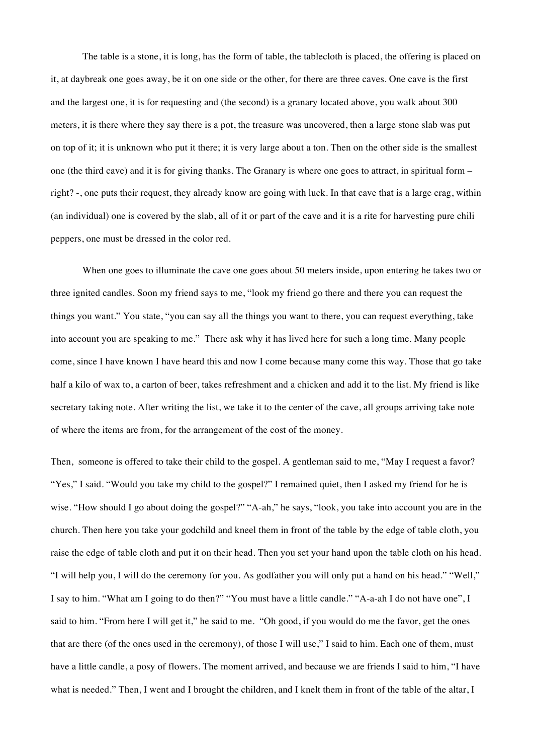The table is a stone, it is long, has the form of table, the tablecloth is placed, the offering is placed on it, at daybreak one goes away, be it on one side or the other, for there are three caves. One cave is the first and the largest one, it is for requesting and (the second) is a granary located above, you walk about 300 meters, it is there where they say there is a pot, the treasure was uncovered, then a large stone slab was put on top of it; it is unknown who put it there; it is very large about a ton. Then on the other side is the smallest one (the third cave) and it is for giving thanks. The Granary is where one goes to attract, in spiritual form – right? -, one puts their request, they already know are going with luck. In that cave that is a large crag, within (an individual) one is covered by the slab, all of it or part of the cave and it is a rite for harvesting pure chili peppers, one must be dressed in the color red.

When one goes to illuminate the cave one goes about 50 meters inside, upon entering he takes two or three ignited candles. Soon my friend says to me, "look my friend go there and there you can request the things you want." You state, "you can say all the things you want to there, you can request everything, take into account you are speaking to me." There ask why it has lived here for such a long time. Many people come, since I have known I have heard this and now I come because many come this way. Those that go take half a kilo of wax to, a carton of beer, takes refreshment and a chicken and add it to the list. My friend is like secretary taking note. After writing the list, we take it to the center of the cave, all groups arriving take note of where the items are from, for the arrangement of the cost of the money.

Then, someone is offered to take their child to the gospel. A gentleman said to me, "May I request a favor? "Yes," I said. "Would you take my child to the gospel?" I remained quiet, then I asked my friend for he is wise. "How should I go about doing the gospel?" "A-ah," he says, "look, you take into account you are in the church. Then here you take your godchild and kneel them in front of the table by the edge of table cloth, you raise the edge of table cloth and put it on their head. Then you set your hand upon the table cloth on his head. "I will help you, I will do the ceremony for you. As godfather you will only put a hand on his head." "Well," I say to him. "What am I going to do then?" "You must have a little candle." "A-a-ah I do not have one", I said to him. "From here I will get it," he said to me. "Oh good, if you would do me the favor, get the ones that are there (of the ones used in the ceremony), of those I will use," I said to him. Each one of them, must have a little candle, a posy of flowers. The moment arrived, and because we are friends I said to him, "I have what is needed." Then, I went and I brought the children, and I knelt them in front of the table of the altar, I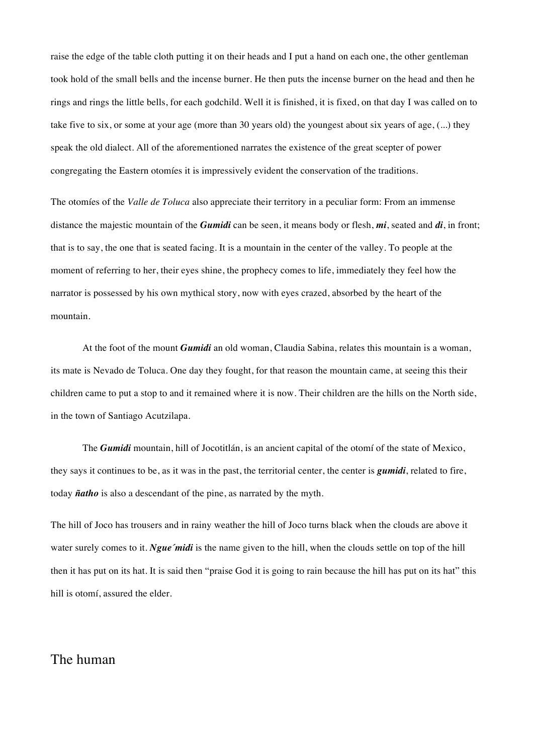raise the edge of the table cloth putting it on their heads and I put a hand on each one, the other gentleman took hold of the small bells and the incense burner. He then puts the incense burner on the head and then he rings and rings the little bells, for each godchild. Well it is finished, it is fixed, on that day I was called on to take five to six, or some at your age (more than 30 years old) the youngest about six years of age, (...) they speak the old dialect. All of the aforementioned narrates the existence of the great scepter of power congregating the Eastern otomíes it is impressively evident the conservation of the traditions.

The otomíes of the *Valle de Toluca* also appreciate their territory in a peculiar form: From an immense distance the majestic mountain of the *Gumidi* can be seen, it means body or flesh, *mi*, seated and *di*, in front; that is to say, the one that is seated facing. It is a mountain in the center of the valley. To people at the moment of referring to her, their eyes shine, the prophecy comes to life, immediately they feel how the narrator is possessed by his own mythical story, now with eyes crazed, absorbed by the heart of the mountain.

At the foot of the mount *Gumidi* an old woman, Claudia Sabina, relates this mountain is a woman, its mate is Nevado de Toluca. One day they fought, for that reason the mountain came, at seeing this their children came to put a stop to and it remained where it is now. Their children are the hills on the North side, in the town of Santiago Acutzilapa.

The *Gumidi* mountain, hill of Jocotitlán, is an ancient capital of the otomí of the state of Mexico, they says it continues to be, as it was in the past, the territorial center, the center is *gumidi*, related to fire, today *ñatho* is also a descendant of the pine, as narrated by the myth.

The hill of Joco has trousers and in rainy weather the hill of Joco turns black when the clouds are above it water surely comes to it. *Ngue'midi* is the name given to the hill, when the clouds settle on top of the hill then it has put on its hat. It is said then "praise God it is going to rain because the hill has put on its hat" this hill is otomí, assured the elder.

# The human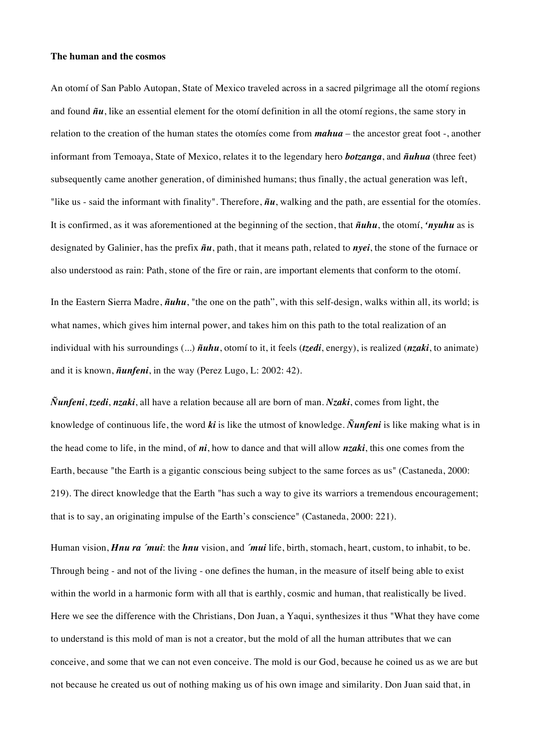#### **The human and the cosmos**

An otomí of San Pablo Autopan, State of Mexico traveled across in a sacred pilgrimage all the otomí regions and found *ñu*, like an essential element for the otomí definition in all the otomí regions, the same story in relation to the creation of the human states the otomíes come from *mahua* – the ancestor great foot -, another informant from Temoaya, State of Mexico, relates it to the legendary hero *botzanga*, and *ñuhua* (three feet) subsequently came another generation, of diminished humans; thus finally, the actual generation was left, "like us - said the informant with finality". Therefore, *ñu*, walking and the path, are essential for the otomíes. It is confirmed, as it was aforementioned at the beginning of the section, that *ñuhu*, the otomí, *'nyuhu* as is designated by Galinier, has the prefix *ñu*, path, that it means path, related to *nyei*, the stone of the furnace or also understood as rain: Path, stone of the fire or rain, are important elements that conform to the otomí.

In the Eastern Sierra Madre, *ñuhu*, "the one on the path", with this self-design, walks within all, its world; is what names, which gives him internal power, and takes him on this path to the total realization of an individual with his surroundings (...) *ñuhu*, otomí to it, it feels (*tzedi*, energy), is realized (*nzaki*, to animate) and it is known, *ñunfeni*, in the way (Perez Lugo, L: 2002: 42).

*Ñunfeni*, *tzedi*, *nzaki*, all have a relation because all are born of man. *Nzaki*, comes from light, the knowledge of continuous life, the word *ki* is like the utmost of knowledge. *Ñunfeni* is like making what is in the head come to life, in the mind, of *ni*, how to dance and that will allow *nzaki*, this one comes from the Earth, because "the Earth is a gigantic conscious being subject to the same forces as us" (Castaneda, 2000: 219). The direct knowledge that the Earth "has such a way to give its warriors a tremendous encouragement; that is to say, an originating impulse of the Earth's conscience" (Castaneda, 2000: 221).

Human vision, *Hnu ra ´mui*: the *hnu* vision, and *´mui* life, birth, stomach, heart, custom, to inhabit, to be. Through being - and not of the living - one defines the human, in the measure of itself being able to exist within the world in a harmonic form with all that is earthly, cosmic and human, that realistically be lived. Here we see the difference with the Christians, Don Juan, a Yaqui, synthesizes it thus "What they have come to understand is this mold of man is not a creator, but the mold of all the human attributes that we can conceive, and some that we can not even conceive. The mold is our God, because he coined us as we are but not because he created us out of nothing making us of his own image and similarity. Don Juan said that, in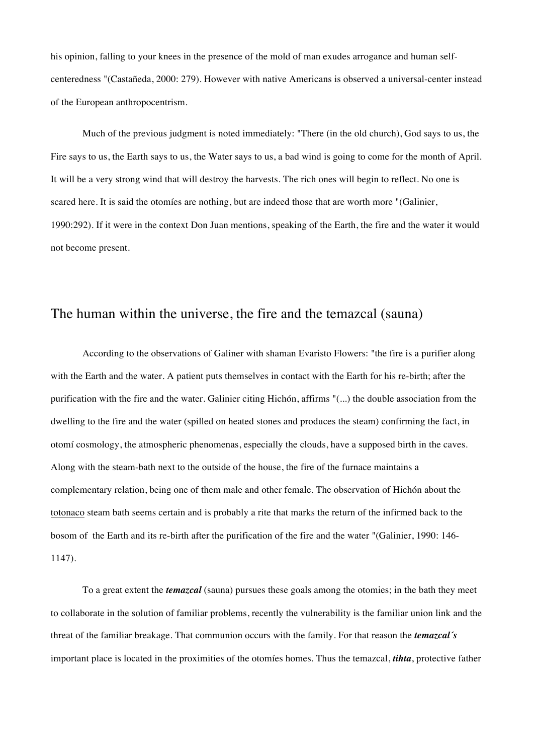his opinion, falling to your knees in the presence of the mold of man exudes arrogance and human selfcenteredness "(Castañeda, 2000: 279). However with native Americans is observed a universal-center instead of the European anthropocentrism.

Much of the previous judgment is noted immediately: "There (in the old church), God says to us, the Fire says to us, the Earth says to us, the Water says to us, a bad wind is going to come for the month of April. It will be a very strong wind that will destroy the harvests. The rich ones will begin to reflect. No one is scared here. It is said the otomíes are nothing, but are indeed those that are worth more "(Galinier, 1990:292). If it were in the context Don Juan mentions, speaking of the Earth, the fire and the water it would not become present.

### The human within the universe, the fire and the temazcal (sauna)

According to the observations of Galiner with shaman Evaristo Flowers: "the fire is a purifier along with the Earth and the water. A patient puts themselves in contact with the Earth for his re-birth; after the purification with the fire and the water. Galinier citing Hichón, affirms "(...) the double association from the dwelling to the fire and the water (spilled on heated stones and produces the steam) confirming the fact, in otomí cosmology, the atmospheric phenomenas, especially the clouds, have a supposed birth in the caves. Along with the steam-bath next to the outside of the house, the fire of the furnace maintains a complementary relation, being one of them male and other female. The observation of Hichón about the totonaco steam bath seems certain and is probably a rite that marks the return of the infirmed back to the bosom of the Earth and its re-birth after the purification of the fire and the water "(Galinier, 1990: 146- 1147).

To a great extent the *temazcal* (sauna) pursues these goals among the otomies; in the bath they meet to collaborate in the solution of familiar problems, recently the vulnerability is the familiar union link and the threat of the familiar breakage. That communion occurs with the family. For that reason the *temazcal´s* important place is located in the proximities of the otomíes homes. Thus the temazcal, *tihta*, protective father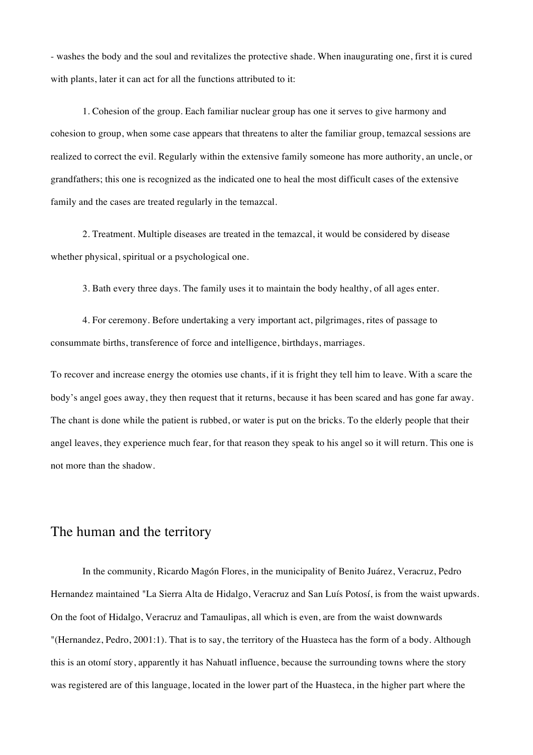- washes the body and the soul and revitalizes the protective shade. When inaugurating one, first it is cured with plants, later it can act for all the functions attributed to it:

1. Cohesion of the group. Each familiar nuclear group has one it serves to give harmony and cohesion to group, when some case appears that threatens to alter the familiar group, temazcal sessions are realized to correct the evil. Regularly within the extensive family someone has more authority, an uncle, or grandfathers; this one is recognized as the indicated one to heal the most difficult cases of the extensive family and the cases are treated regularly in the temazcal.

2. Treatment. Multiple diseases are treated in the temazcal, it would be considered by disease whether physical, spiritual or a psychological one.

3. Bath every three days. The family uses it to maintain the body healthy, of all ages enter.

4. For ceremony. Before undertaking a very important act, pilgrimages, rites of passage to consummate births, transference of force and intelligence, birthdays, marriages.

To recover and increase energy the otomies use chants, if it is fright they tell him to leave. With a scare the body's angel goes away, they then request that it returns, because it has been scared and has gone far away. The chant is done while the patient is rubbed, or water is put on the bricks. To the elderly people that their angel leaves, they experience much fear, for that reason they speak to his angel so it will return. This one is not more than the shadow.

## The human and the territory

In the community, Ricardo Magón Flores, in the municipality of Benito Juárez, Veracruz, Pedro Hernandez maintained "La Sierra Alta de Hidalgo, Veracruz and San Luís Potosí, is from the waist upwards. On the foot of Hidalgo, Veracruz and Tamaulipas, all which is even, are from the waist downwards "(Hernandez, Pedro, 2001:1). That is to say, the territory of the Huasteca has the form of a body. Although this is an otomí story, apparently it has Nahuatl influence, because the surrounding towns where the story was registered are of this language, located in the lower part of the Huasteca, in the higher part where the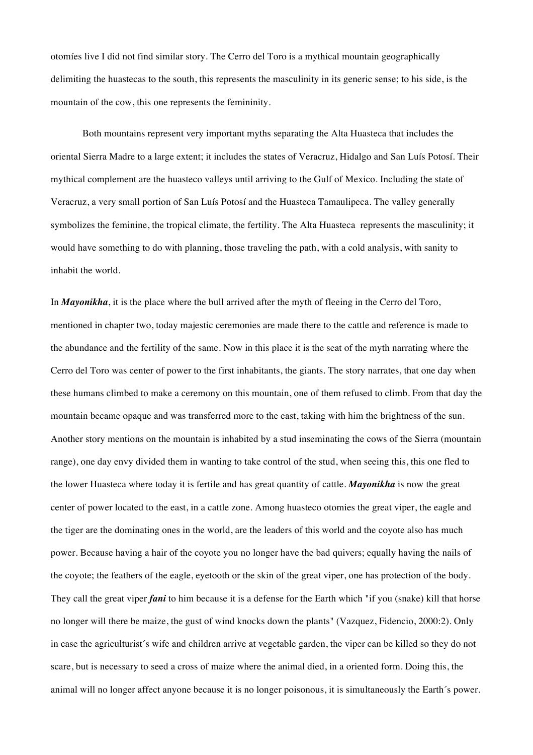otomíes live I did not find similar story. The Cerro del Toro is a mythical mountain geographically delimiting the huastecas to the south, this represents the masculinity in its generic sense; to his side, is the mountain of the cow, this one represents the femininity.

Both mountains represent very important myths separating the Alta Huasteca that includes the oriental Sierra Madre to a large extent; it includes the states of Veracruz, Hidalgo and San Luís Potosí. Their mythical complement are the huasteco valleys until arriving to the Gulf of Mexico. Including the state of Veracruz, a very small portion of San Luís Potosí and the Huasteca Tamaulipeca. The valley generally symbolizes the feminine, the tropical climate, the fertility. The Alta Huasteca represents the masculinity; it would have something to do with planning, those traveling the path, with a cold analysis, with sanity to inhabit the world.

In *Mayonikha*, it is the place where the bull arrived after the myth of fleeing in the Cerro del Toro, mentioned in chapter two, today majestic ceremonies are made there to the cattle and reference is made to the abundance and the fertility of the same. Now in this place it is the seat of the myth narrating where the Cerro del Toro was center of power to the first inhabitants, the giants. The story narrates, that one day when these humans climbed to make a ceremony on this mountain, one of them refused to climb. From that day the mountain became opaque and was transferred more to the east, taking with him the brightness of the sun. Another story mentions on the mountain is inhabited by a stud inseminating the cows of the Sierra (mountain range), one day envy divided them in wanting to take control of the stud, when seeing this, this one fled to the lower Huasteca where today it is fertile and has great quantity of cattle. *Mayonikha* is now the great center of power located to the east, in a cattle zone. Among huasteco otomies the great viper, the eagle and the tiger are the dominating ones in the world, are the leaders of this world and the coyote also has much power. Because having a hair of the coyote you no longer have the bad quivers; equally having the nails of the coyote; the feathers of the eagle, eyetooth or the skin of the great viper, one has protection of the body. They call the great viper *fani* to him because it is a defense for the Earth which "if you (snake) kill that horse no longer will there be maize, the gust of wind knocks down the plants" (Vazquez, Fidencio, 2000:2). Only in case the agriculturist´s wife and children arrive at vegetable garden, the viper can be killed so they do not scare, but is necessary to seed a cross of maize where the animal died, in a oriented form. Doing this, the animal will no longer affect anyone because it is no longer poisonous, it is simultaneously the Earth´s power.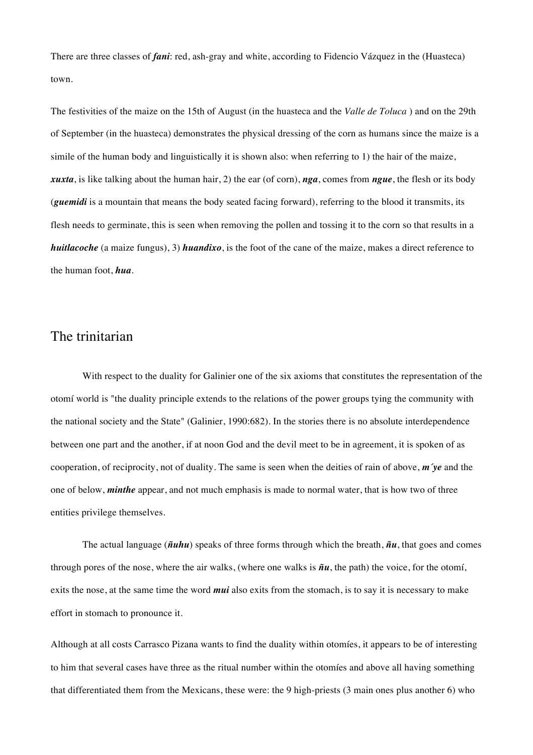There are three classes of *fani*: red, ash-gray and white, according to Fidencio Vázquez in the (Huasteca) town.

The festivities of the maize on the 15th of August (in the huasteca and the *Valle de Toluca* ) and on the 29th of September (in the huasteca) demonstrates the physical dressing of the corn as humans since the maize is a simile of the human body and linguistically it is shown also: when referring to 1) the hair of the maize, *xuxta*, is like talking about the human hair, 2) the ear (of corn), *nga*, comes from *ngue*, the flesh or its body (*guemidi* is a mountain that means the body seated facing forward), referring to the blood it transmits, its flesh needs to germinate, this is seen when removing the pollen and tossing it to the corn so that results in a *huitlacoche* (a maize fungus), 3) *huandixo*, is the foot of the cane of the maize, makes a direct reference to the human foot, *hua*.

### The trinitarian

With respect to the duality for Galinier one of the six axioms that constitutes the representation of the otomí world is "the duality principle extends to the relations of the power groups tying the community with the national society and the State" (Galinier, 1990:682). In the stories there is no absolute interdependence between one part and the another, if at noon God and the devil meet to be in agreement, it is spoken of as cooperation, of reciprocity, not of duality. The same is seen when the deities of rain of above, *m´ye* and the one of below, *minthe* appear, and not much emphasis is made to normal water, that is how two of three entities privilege themselves.

The actual language (*ñuhu*) speaks of three forms through which the breath, *ñu*, that goes and comes through pores of the nose, where the air walks, (where one walks is *ñu*, the path) the voice, for the otomí, exits the nose, at the same time the word *mui* also exits from the stomach, is to say it is necessary to make effort in stomach to pronounce it.

Although at all costs Carrasco Pizana wants to find the duality within otomíes, it appears to be of interesting to him that several cases have three as the ritual number within the otomíes and above all having something that differentiated them from the Mexicans, these were: the 9 high-priests (3 main ones plus another 6) who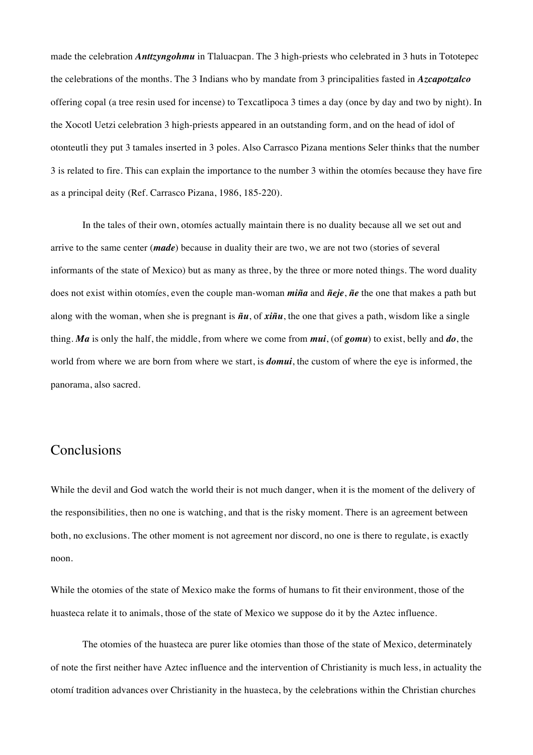made the celebration *Anttzyngohmu* in Tlaluacpan. The 3 high-priests who celebrated in 3 huts in Tototepec the celebrations of the months. The 3 Indians who by mandate from 3 principalities fasted in *Azcapotzalco* offering copal (a tree resin used for incense) to Texcatlipoca 3 times a day (once by day and two by night). In the Xocotl Uetzi celebration 3 high-priests appeared in an outstanding form, and on the head of idol of otonteutli they put 3 tamales inserted in 3 poles. Also Carrasco Pizana mentions Seler thinks that the number 3 is related to fire. This can explain the importance to the number 3 within the otomíes because they have fire as a principal deity (Ref. Carrasco Pizana, 1986, 185-220).

In the tales of their own, otomíes actually maintain there is no duality because all we set out and arrive to the same center (*made*) because in duality their are two, we are not two (stories of several informants of the state of Mexico) but as many as three, by the three or more noted things. The word duality does not exist within otomíes, even the couple man-woman *miña* and *ñeje*, *ñe* the one that makes a path but along with the woman, when she is pregnant is *ñu*, of *xiñu*, the one that gives a path, wisdom like a single thing. *Ma* is only the half, the middle, from where we come from *mui*, (of *gomu*) to exist, belly and *do*, the world from where we are born from where we start, is *domui*, the custom of where the eye is informed, the panorama, also sacred.

# Conclusions

While the devil and God watch the world their is not much danger, when it is the moment of the delivery of the responsibilities, then no one is watching, and that is the risky moment. There is an agreement between both, no exclusions. The other moment is not agreement nor discord, no one is there to regulate, is exactly noon.

While the otomies of the state of Mexico make the forms of humans to fit their environment, those of the huasteca relate it to animals, those of the state of Mexico we suppose do it by the Aztec influence.

The otomies of the huasteca are purer like otomies than those of the state of Mexico, determinately of note the first neither have Aztec influence and the intervention of Christianity is much less, in actuality the otomí tradition advances over Christianity in the huasteca, by the celebrations within the Christian churches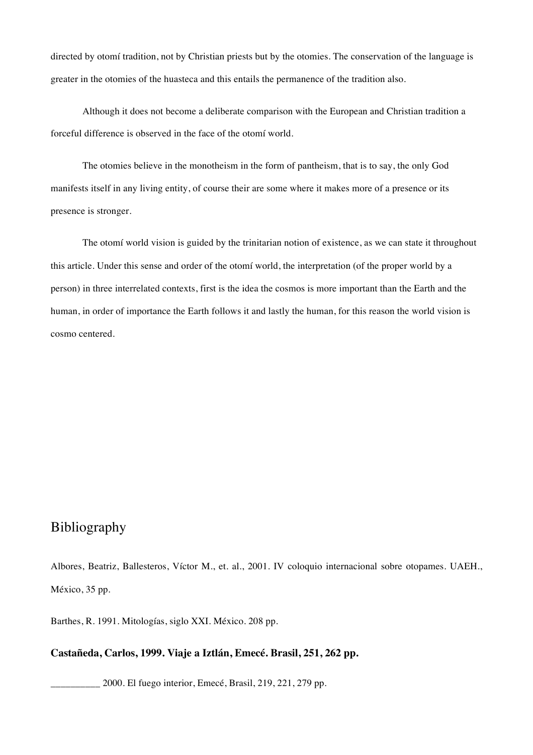directed by otomí tradition, not by Christian priests but by the otomies. The conservation of the language is greater in the otomies of the huasteca and this entails the permanence of the tradition also.

Although it does not become a deliberate comparison with the European and Christian tradition a forceful difference is observed in the face of the otomí world.

The otomies believe in the monotheism in the form of pantheism, that is to say, the only God manifests itself in any living entity, of course their are some where it makes more of a presence or its presence is stronger.

The otomí world vision is guided by the trinitarian notion of existence, as we can state it throughout this article. Under this sense and order of the otomí world, the interpretation (of the proper world by a person) in three interrelated contexts, first is the idea the cosmos is more important than the Earth and the human, in order of importance the Earth follows it and lastly the human, for this reason the world vision is cosmo centered.

# Bibliography

Albores, Beatriz, Ballesteros, Víctor M., et. al., 2001. IV coloquio internacional sobre otopames. UAEH., México, 35 pp.

Barthes, R. 1991. Mitologías, siglo XXI. México. 208 pp.

### **Castañeda, Carlos, 1999. Viaje a Iztlán, Emecé. Brasil, 251, 262 pp.**

\_\_\_\_\_\_\_\_\_\_ 2000. El fuego interior, Emecé, Brasil, 219, 221, 279 pp.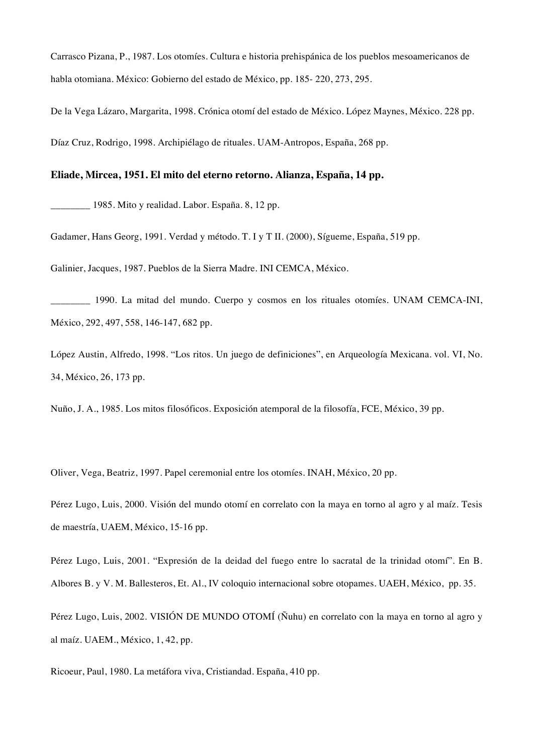Carrasco Pizana, P., 1987. Los otomíes. Cultura e historia prehispánica de los pueblos mesoamericanos de habla otomiana. México: Gobierno del estado de México, pp. 185- 220, 273, 295.

De la Vega Lázaro, Margarita, 1998. Crónica otomí del estado de México. López Maynes, México. 228 pp. Díaz Cruz, Rodrigo, 1998. Archipiélago de rituales. UAM-Antropos, España, 268 pp.

### **Eliade, Mircea, 1951. El mito del eterno retorno. Alianza, España, 14 pp.**

\_\_\_\_\_\_\_\_ 1985. Mito y realidad. Labor. España. 8, 12 pp.

Gadamer, Hans Georg, 1991. Verdad y método. T. I y T II. (2000), Sígueme, España, 519 pp.

Galinier, Jacques, 1987. Pueblos de la Sierra Madre. INI CEMCA, México.

\_\_\_\_\_\_\_\_ 1990. La mitad del mundo. Cuerpo y cosmos en los rituales otomíes. UNAM CEMCA-INI, México, 292, 497, 558, 146-147, 682 pp.

López Austin, Alfredo, 1998. "Los ritos. Un juego de definiciones", en Arqueología Mexicana. vol. VI, No. 34, México, 26, 173 pp.

Nuño, J. A., 1985. Los mitos filosóficos. Exposición atemporal de la filosofía, FCE, México, 39 pp.

Oliver, Vega, Beatriz, 1997. Papel ceremonial entre los otomíes. INAH, México, 20 pp.

Pérez Lugo, Luis, 2000. Visión del mundo otomí en correlato con la maya en torno al agro y al maíz. Tesis de maestría, UAEM, México, 15-16 pp.

Pérez Lugo, Luis, 2001. "Expresión de la deidad del fuego entre lo sacratal de la trinidad otomí". En B. Albores B. y V. M. Ballesteros, Et. Al., IV coloquio internacional sobre otopames. UAEH, México, pp. 35.

Pérez Lugo, Luis, 2002. VISIÓN DE MUNDO OTOMÍ (Ñuhu) en correlato con la maya en torno al agro y al maíz. UAEM., México, 1, 42, pp.

Ricoeur, Paul, 1980. La metáfora viva, Cristiandad. España, 410 pp.